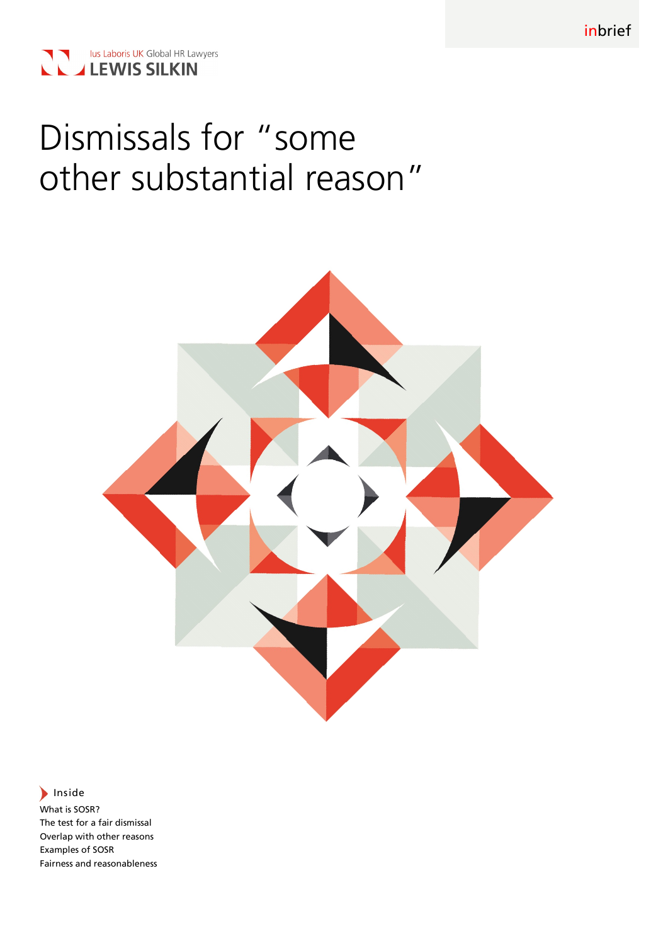

# Dismissals for "some other substantial reason"



# $\blacktriangleright$  Inside

What is SOSR? The test for a fair dismissal Overlap with other reasons Examples of SOSR Fairness and reasonableness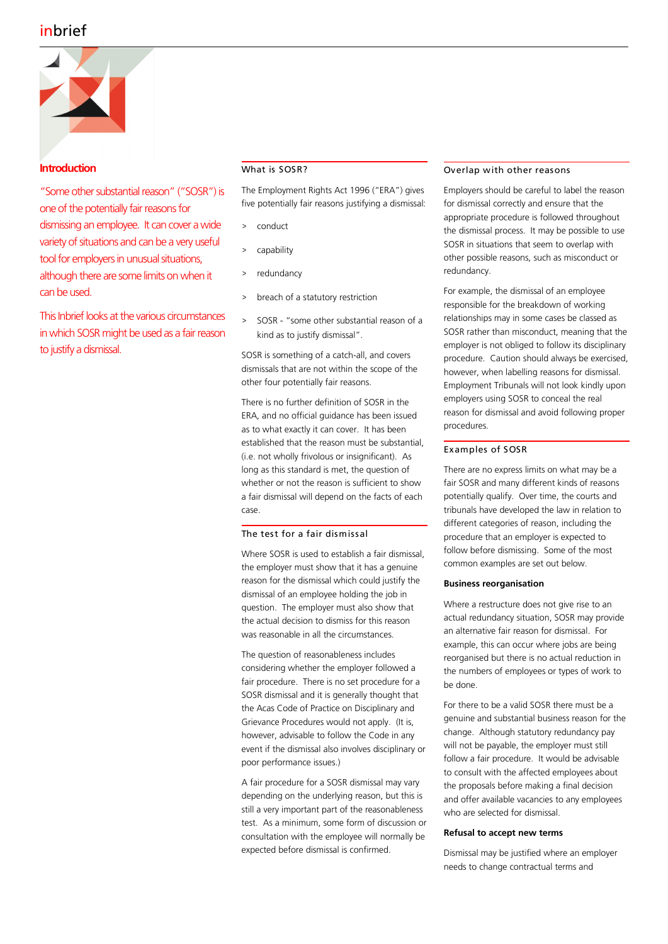

# **Introduction**

"Some other substantial reason" ("SOSR") is one of the potentially fair reasons for dismissing an employee. It can cover a wide variety of situations and can be a very useful tool for employers in unusual situations, although there are some limits on when it can be used.

This Inbrief looks at the various circumstances in which SOSR might be used as a fair reason to justify a dismissal.

# What is SOSR?

The Employment Rights Act 1996 ("ERA") gives five potentially fair reasons justifying a dismissal:

- conduct
- capability
- redundancy
- > breach of a statutory restriction
- > SOSR "some other substantial reason of a kind as to justify dismissal".

SOSR is something of a catch-all, and covers dismissals that are not within the scope of the other four potentially fair reasons.

There is no further definition of SOSR in the ERA, and no official guidance has been issued as to what exactly it can cover. It has been established that the reason must be substantial, (i.e. not wholly frivolous or insignificant). As long as this standard is met, the question of whether or not the reason is sufficient to show a fair dismissal will depend on the facts of each case.

# The test for a fair dismissal

Where SOSR is used to establish a fair dismissal, the employer must show that it has a genuine reason for the dismissal which could justify the dismissal of an employee holding the job in question. The employer must also show that the actual decision to dismiss for this reason was reasonable in all the circumstances.

The question of reasonableness includes considering whether the employer followed a fair procedure. There is no set procedure for a SOSR dismissal and it is generally thought that the Acas Code of Practice on Disciplinary and Grievance Procedures would not apply. (It is, however, advisable to follow the Code in any event if the dismissal also involves disciplinary or poor performance issues.)

A fair procedure for a SOSR dismissal may vary depending on the underlying reason, but this is still a very important part of the reasonableness test. As a minimum, some form of discussion or consultation with the employee will normally be expected before dismissal is confirmed.

# Overlap with other reasons

Employers should be careful to label the reason for dismissal correctly and ensure that the appropriate procedure is followed throughout the dismissal process. It may be possible to use SOSR in situations that seem to overlap with other possible reasons, such as misconduct or redundancy.

For example, the dismissal of an employee responsible for the breakdown of working relationships may in some cases be classed as SOSR rather than misconduct, meaning that the employer is not obliged to follow its disciplinary procedure. Caution should always be exercised, however, when labelling reasons for dismissal. Employment Tribunals will not look kindly upon employers using SOSR to conceal the real reason for dismissal and avoid following proper procedures.

# Examples of SOSR

There are no express limits on what may be a fair SOSR and many different kinds of reasons potentially qualify. Over time, the courts and tribunals have developed the law in relation to different categories of reason, including the procedure that an employer is expected to follow before dismissing. Some of the most common examples are set out below.

#### **Business reorganisation**

Where a restructure does not give rise to an actual redundancy situation, SOSR may provide an alternative fair reason for dismissal. For example, this can occur where jobs are being reorganised but there is no actual reduction in the numbers of employees or types of work to be done.

For there to be a valid SOSR there must be a genuine and substantial business reason for the change. Although statutory redundancy pay will not be payable, the employer must still follow a fair procedure. It would be advisable to consult with the affected employees about the proposals before making a final decision and offer available vacancies to any employees who are selected for dismissal.

#### **Refusal to accept new terms**

Dismissal may be justified where an employer needs to change contractual terms and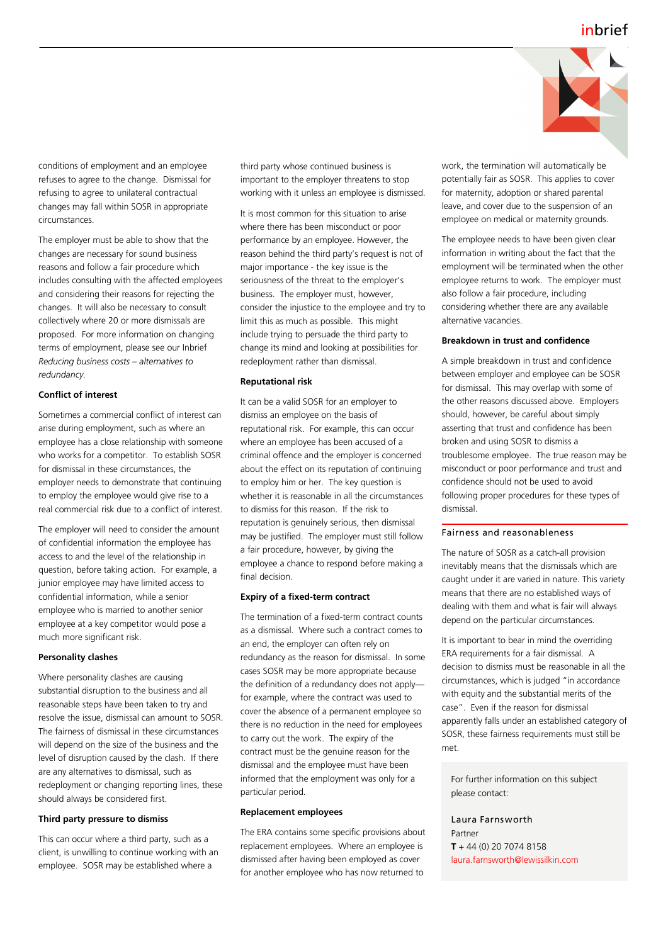

conditions of employment and an employee refuses to agree to the change. Dismissal for refusing to agree to unilateral contractual changes may fall within SOSR in appropriate circumstances.

The employer must be able to show that the changes are necessary for sound business reasons and follow a fair procedure which includes consulting with the affected employees and considering their reasons for rejecting the changes. It will also be necessary to consult collectively where 20 or more dismissals are proposed. For more information on changing terms of employment, please see our Inbrief *Reducing business costs – alternatives to redundancy.*

#### **Conflict of interest**

Sometimes a commercial conflict of interest can arise during employment, such as where an employee has a close relationship with someone who works for a competitor. To establish SOSR for dismissal in these circumstances, the employer needs to demonstrate that continuing to employ the employee would give rise to a real commercial risk due to a conflict of interest.

The employer will need to consider the amount of confidential information the employee has access to and the level of the relationship in question, before taking action. For example, a junior employee may have limited access to confidential information, while a senior employee who is married to another senior employee at a key competitor would pose a much more significant risk.

# **Personality clashes**

Where personality clashes are causing substantial disruption to the business and all reasonable steps have been taken to try and resolve the issue, dismissal can amount to SOSR. The fairness of dismissal in these circumstances will depend on the size of the business and the level of disruption caused by the clash. If there are any alternatives to dismissal, such as redeployment or changing reporting lines, these should always be considered first.

#### **Third party pressure to dismiss**

This can occur where a third party, such as a client, is unwilling to continue working with an employee. SOSR may be established where a

third party whose continued business is important to the employer threatens to stop working with it unless an employee is dismissed.

It is most common for this situation to arise where there has been misconduct or poor performance by an employee. However, the reason behind the third party's request is not of major importance - the key issue is the seriousness of the threat to the employer's business. The employer must, however, consider the injustice to the employee and try to limit this as much as possible. This might include trying to persuade the third party to change its mind and looking at possibilities for redeployment rather than dismissal.

#### **Reputational risk**

It can be a valid SOSR for an employer to dismiss an employee on the basis of reputational risk. For example, this can occur where an employee has been accused of a criminal offence and the employer is concerned about the effect on its reputation of continuing to employ him or her. The key question is whether it is reasonable in all the circumstances to dismiss for this reason. If the risk to reputation is genuinely serious, then dismissal may be justified. The employer must still follow a fair procedure, however, by giving the employee a chance to respond before making a final decision.

# **Expiry of a fixed-term contract**

The termination of a fixed-term contract counts as a dismissal. Where such a contract comes to an end, the employer can often rely on redundancy as the reason for dismissal. In some cases SOSR may be more appropriate because the definition of a redundancy does not apply for example, where the contract was used to cover the absence of a permanent employee so there is no reduction in the need for employees to carry out the work. The expiry of the contract must be the genuine reason for the dismissal and the employee must have been informed that the employment was only for a particular period.

#### **Replacement employees**

The ERA contains some specific provisions about replacement employees. Where an employee is dismissed after having been employed as cover for another employee who has now returned to

work, the termination will automatically be potentially fair as SOSR. This applies to cover for maternity, adoption or shared parental leave, and cover due to the suspension of an employee on medical or maternity grounds.

The employee needs to have been given clear information in writing about the fact that the employment will be terminated when the other employee returns to work. The employer must also follow a fair procedure, including considering whether there are any available alternative vacancies.

# **Breakdown in trust and confidence**

A simple breakdown in trust and confidence between employer and employee can be SOSR for dismissal. This may overlap with some of the other reasons discussed above. Employers should, however, be careful about simply asserting that trust and confidence has been broken and using SOSR to dismiss a troublesome employee. The true reason may be misconduct or poor performance and trust and confidence should not be used to avoid following proper procedures for these types of dismissal.

#### Fairness and reasonableness

The nature of SOSR as a catch-all provision inevitably means that the dismissals which are caught under it are varied in nature. This variety means that there are no established ways of dealing with them and what is fair will always depend on the particular circumstances.

It is important to bear in mind the overriding ERA requirements for a fair dismissal. A decision to dismiss must be reasonable in all the circumstances, which is judged "in accordance with equity and the substantial merits of the case". Even if the reason for dismissal apparently falls under an established category of SOSR, these fairness requirements must still be met.

For further information on this subject please contact:

Laura Farnsworth Partner **T** + 44 (0) 20 7074 8158 laura.farnsworth@lewissilkin.com